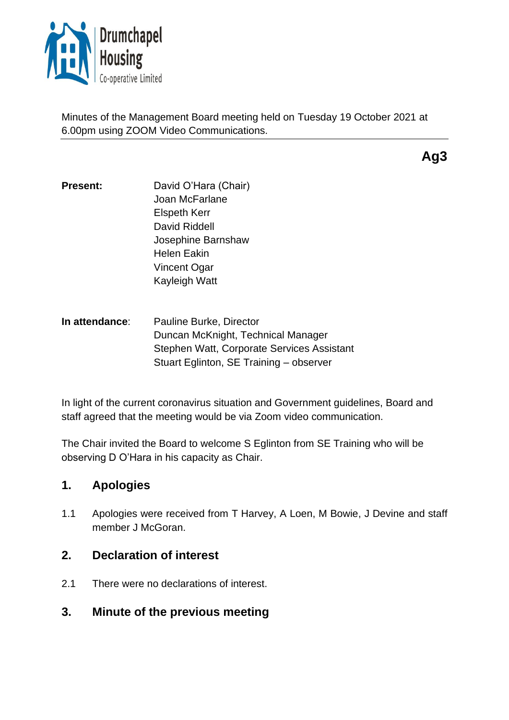

Minutes of the Management Board meeting held on Tuesday 19 October 2021 at 6.00pm using ZOOM Video Communications.

**Ag3**

- **Present:** David O'Hara (Chair) Joan McFarlane Elspeth Kerr David Riddell Josephine Barnshaw Helen Eakin Vincent Ogar Kayleigh Watt
- **In attendance**: Pauline Burke, Director Duncan McKnight, Technical Manager Stephen Watt, Corporate Services Assistant Stuart Eglinton, SE Training – observer

In light of the current coronavirus situation and Government guidelines, Board and staff agreed that the meeting would be via Zoom video communication.

The Chair invited the Board to welcome S Eglinton from SE Training who will be observing D O'Hara in his capacity as Chair.

# **1. Apologies**

1.1 Apologies were received from T Harvey, A Loen, M Bowie, J Devine and staff member J McGoran.

# **2. Declaration of interest**

- 2.1 There were no declarations of interest.
- **3. Minute of the previous meeting**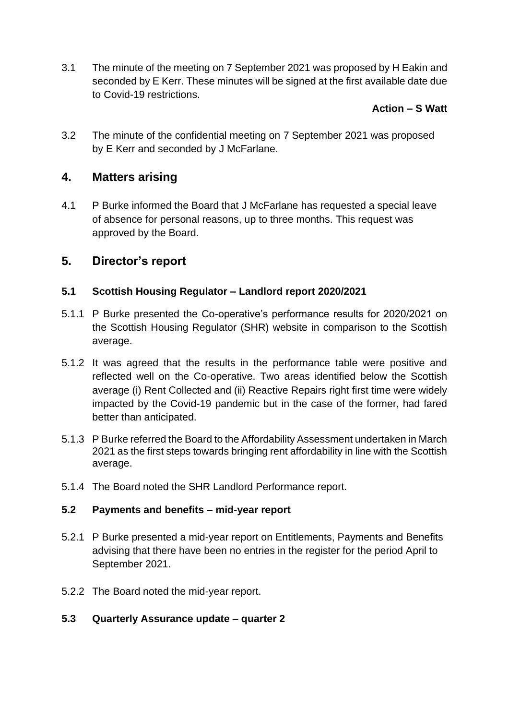3.1 The minute of the meeting on 7 September 2021 was proposed by H Eakin and seconded by E Kerr. These minutes will be signed at the first available date due to Covid-19 restrictions.

### **Action – S Watt**

3.2 The minute of the confidential meeting on 7 September 2021 was proposed by E Kerr and seconded by J McFarlane.

# **4. Matters arising**

4.1 P Burke informed the Board that J McFarlane has requested a special leave of absence for personal reasons, up to three months. This request was approved by the Board.

# **5. Director's report**

#### **5.1 Scottish Housing Regulator – Landlord report 2020/2021**

- 5.1.1 P Burke presented the Co-operative's performance results for 2020/2021 on the Scottish Housing Regulator (SHR) website in comparison to the Scottish average.
- 5.1.2 It was agreed that the results in the performance table were positive and reflected well on the Co-operative. Two areas identified below the Scottish average (i) Rent Collected and (ii) Reactive Repairs right first time were widely impacted by the Covid-19 pandemic but in the case of the former, had fared better than anticipated.
- 5.1.3 P Burke referred the Board to the Affordability Assessment undertaken in March 2021 as the first steps towards bringing rent affordability in line with the Scottish average.
- 5.1.4 The Board noted the SHR Landlord Performance report.

#### **5.2 Payments and benefits – mid-year report**

- 5.2.1 P Burke presented a mid-year report on Entitlements, Payments and Benefits advising that there have been no entries in the register for the period April to September 2021.
- 5.2.2 The Board noted the mid-year report.

#### **5.3 Quarterly Assurance update – quarter 2**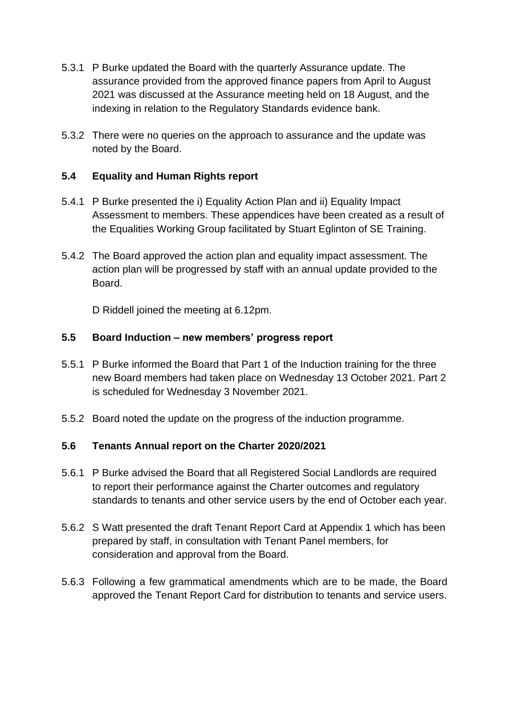- 5.3.1 P Burke updated the Board with the quarterly Assurance update. The assurance provided from the approved finance papers from April to August 2021 was discussed at the Assurance meeting held on 18 August, and the indexing in relation to the Regulatory Standards evidence bank.
- 5.3.2 There were no queries on the approach to assurance and the update was noted by the Board.

### **5.4 Equality and Human Rights report**

- 5.4.1 P Burke presented the i) Equality Action Plan and ii) Equality Impact Assessment to members. These appendices have been created as a result of the Equalities Working Group facilitated by Stuart Eglinton of SE Training.
- 5.4.2 The Board approved the action plan and equality impact assessment. The action plan will be progressed by staff with an annual update provided to the Board.

D Riddell joined the meeting at 6.12pm.

#### **5.5 Board Induction – new members' progress report**

- 5.5.1 P Burke informed the Board that Part 1 of the Induction training for the three new Board members had taken place on Wednesday 13 October 2021. Part 2 is scheduled for Wednesday 3 November 2021.
- 5.5.2 Board noted the update on the progress of the induction programme.

#### **5.6 Tenants Annual report on the Charter 2020/2021**

- 5.6.1 P Burke advised the Board that all Registered Social Landlords are required to report their performance against the Charter outcomes and regulatory standards to tenants and other service users by the end of October each year.
- 5.6.2 S Watt presented the draft Tenant Report Card at Appendix 1 which has been prepared by staff, in consultation with Tenant Panel members, for consideration and approval from the Board.
- 5.6.3 Following a few grammatical amendments which are to be made, the Board approved the Tenant Report Card for distribution to tenants and service users.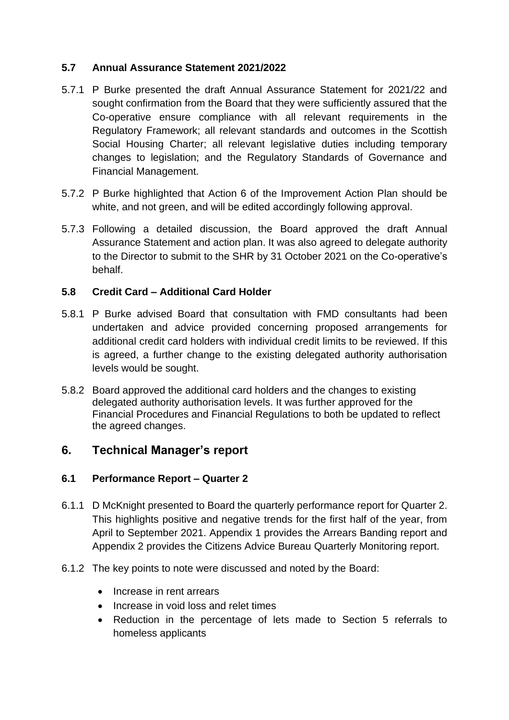#### **5.7 Annual Assurance Statement 2021/2022**

- 5.7.1 P Burke presented the draft Annual Assurance Statement for 2021/22 and sought confirmation from the Board that they were sufficiently assured that the Co-operative ensure compliance with all relevant requirements in the Regulatory Framework; all relevant standards and outcomes in the Scottish Social Housing Charter; all relevant legislative duties including temporary changes to legislation; and the Regulatory Standards of Governance and Financial Management.
- 5.7.2 P Burke highlighted that Action 6 of the Improvement Action Plan should be white, and not green, and will be edited accordingly following approval.
- 5.7.3 Following a detailed discussion, the Board approved the draft Annual Assurance Statement and action plan. It was also agreed to delegate authority to the Director to submit to the SHR by 31 October 2021 on the Co-operative's behalf.

### **5.8 Credit Card – Additional Card Holder**

- 5.8.1 P Burke advised Board that consultation with FMD consultants had been undertaken and advice provided concerning proposed arrangements for additional credit card holders with individual credit limits to be reviewed. If this is agreed, a further change to the existing delegated authority authorisation levels would be sought.
- 5.8.2 Board approved the additional card holders and the changes to existing delegated authority authorisation levels. It was further approved for the Financial Procedures and Financial Regulations to both be updated to reflect the agreed changes.

# **6. Technical Manager's report**

#### **6.1 Performance Report – Quarter 2**

- 6.1.1 D McKnight presented to Board the quarterly performance report for Quarter 2. This highlights positive and negative trends for the first half of the year, from April to September 2021. Appendix 1 provides the Arrears Banding report and Appendix 2 provides the Citizens Advice Bureau Quarterly Monitoring report.
- 6.1.2 The key points to note were discussed and noted by the Board:
	- Increase in rent arrears
	- Increase in void loss and relet times
	- Reduction in the percentage of lets made to Section 5 referrals to homeless applicants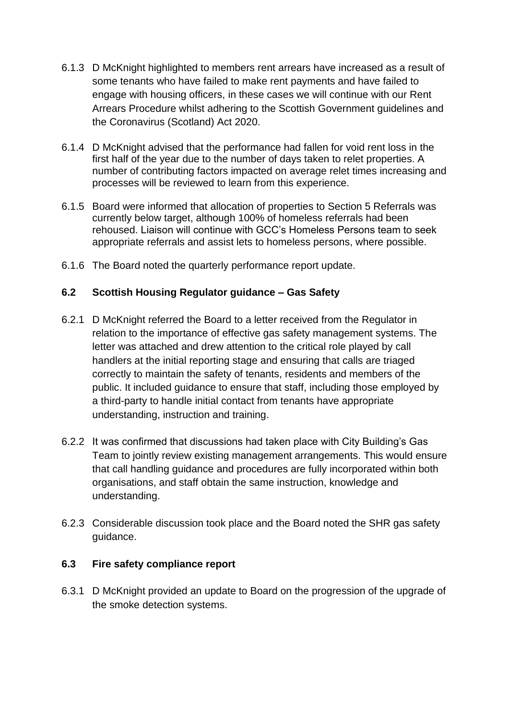- 6.1.3 D McKnight highlighted to members rent arrears have increased as a result of some tenants who have failed to make rent payments and have failed to engage with housing officers, in these cases we will continue with our Rent Arrears Procedure whilst adhering to the Scottish Government guidelines and the Coronavirus (Scotland) Act 2020.
- 6.1.4 D McKnight advised that the performance had fallen for void rent loss in the first half of the year due to the number of days taken to relet properties. A number of contributing factors impacted on average relet times increasing and processes will be reviewed to learn from this experience.
- 6.1.5 Board were informed that allocation of properties to Section 5 Referrals was currently below target, although 100% of homeless referrals had been rehoused. Liaison will continue with GCC's Homeless Persons team to seek appropriate referrals and assist lets to homeless persons, where possible.
- 6.1.6 The Board noted the quarterly performance report update.

### **6.2 Scottish Housing Regulator guidance – Gas Safety**

- 6.2.1 D McKnight referred the Board to a letter received from the Regulator in relation to the importance of effective gas safety management systems. The letter was attached and drew attention to the critical role played by call handlers at the initial reporting stage and ensuring that calls are triaged correctly to maintain the safety of tenants, residents and members of the public. It included guidance to ensure that staff, including those employed by a third-party to handle initial contact from tenants have appropriate understanding, instruction and training.
- 6.2.2 It was confirmed that discussions had taken place with City Building's Gas Team to jointly review existing management arrangements. This would ensure that call handling guidance and procedures are fully incorporated within both organisations, and staff obtain the same instruction, knowledge and understanding.
- 6.2.3 Considerable discussion took place and the Board noted the SHR gas safety guidance.

#### **6.3 Fire safety compliance report**

6.3.1 D McKnight provided an update to Board on the progression of the upgrade of the smoke detection systems.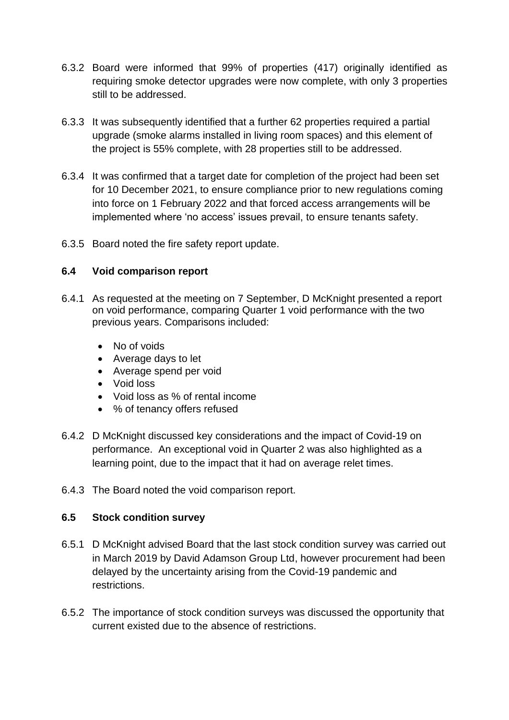- 6.3.2 Board were informed that 99% of properties (417) originally identified as requiring smoke detector upgrades were now complete, with only 3 properties still to be addressed.
- 6.3.3 It was subsequently identified that a further 62 properties required a partial upgrade (smoke alarms installed in living room spaces) and this element of the project is 55% complete, with 28 properties still to be addressed.
- 6.3.4 It was confirmed that a target date for completion of the project had been set for 10 December 2021, to ensure compliance prior to new regulations coming into force on 1 February 2022 and that forced access arrangements will be implemented where 'no access' issues prevail, to ensure tenants safety.
- 6.3.5 Board noted the fire safety report update.

#### **6.4 Void comparison report**

- 6.4.1 As requested at the meeting on 7 September, D McKnight presented a report on void performance, comparing Quarter 1 void performance with the two previous years. Comparisons included:
	- No of voids
	- Average days to let
	- Average spend per void
	- Void loss
	- Void loss as % of rental income
	- % of tenancy offers refused
- 6.4.2 D McKnight discussed key considerations and the impact of Covid-19 on performance. An exceptional void in Quarter 2 was also highlighted as a learning point, due to the impact that it had on average relet times.
- 6.4.3 The Board noted the void comparison report.

#### **6.5 Stock condition survey**

- 6.5.1 D McKnight advised Board that the last stock condition survey was carried out in March 2019 by David Adamson Group Ltd, however procurement had been delayed by the uncertainty arising from the Covid-19 pandemic and restrictions.
- 6.5.2 The importance of stock condition surveys was discussed the opportunity that current existed due to the absence of restrictions.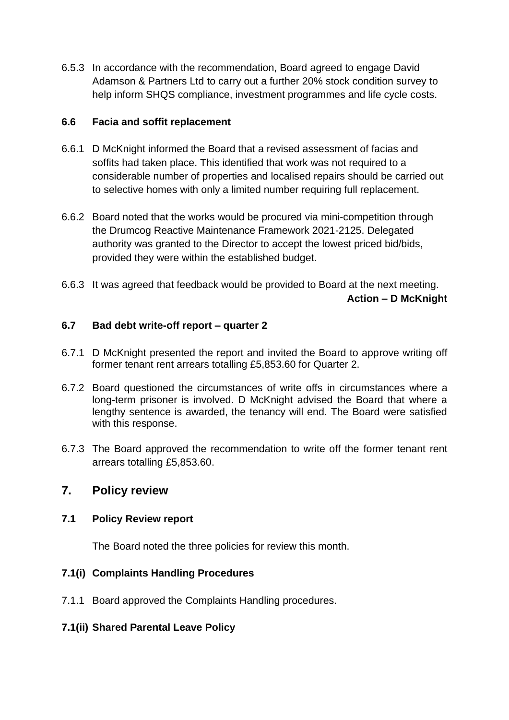6.5.3 In accordance with the recommendation, Board agreed to engage David Adamson & Partners Ltd to carry out a further 20% stock condition survey to help inform SHQS compliance, investment programmes and life cycle costs.

#### **6.6 Facia and soffit replacement**

- 6.6.1 D McKnight informed the Board that a revised assessment of facias and soffits had taken place. This identified that work was not required to a considerable number of properties and localised repairs should be carried out to selective homes with only a limited number requiring full replacement.
- 6.6.2 Board noted that the works would be procured via mini-competition through the Drumcog Reactive Maintenance Framework 2021-2125. Delegated authority was granted to the Director to accept the lowest priced bid/bids, provided they were within the established budget.
- 6.6.3 It was agreed that feedback would be provided to Board at the next meeting. **Action – D McKnight**

### **6.7 Bad debt write-off report – quarter 2**

- 6.7.1 D McKnight presented the report and invited the Board to approve writing off former tenant rent arrears totalling £5,853.60 for Quarter 2.
- 6.7.2 Board questioned the circumstances of write offs in circumstances where a long-term prisoner is involved. D McKnight advised the Board that where a lengthy sentence is awarded, the tenancy will end. The Board were satisfied with this response.
- 6.7.3 The Board approved the recommendation to write off the former tenant rent arrears totalling £5,853.60.

# **7. Policy review**

#### **7.1 Policy Review report**

The Board noted the three policies for review this month.

# **7.1(i) Complaints Handling Procedures**

7.1.1 Board approved the Complaints Handling procedures.

# **7.1(ii) Shared Parental Leave Policy**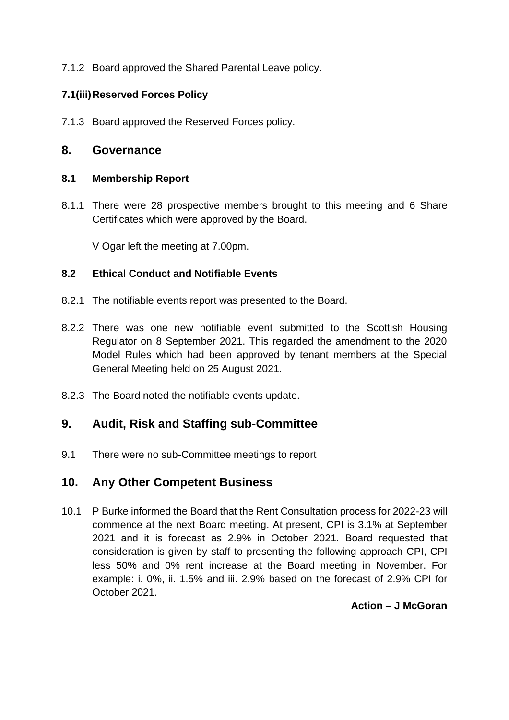7.1.2 Board approved the Shared Parental Leave policy.

# **7.1(iii)Reserved Forces Policy**

7.1.3 Board approved the Reserved Forces policy.

### **8. Governance**

#### **8.1 Membership Report**

8.1.1 There were 28 prospective members brought to this meeting and 6 Share Certificates which were approved by the Board.

V Ogar left the meeting at 7.00pm.

#### **8.2 Ethical Conduct and Notifiable Events**

- 8.2.1 The notifiable events report was presented to the Board.
- 8.2.2 There was one new notifiable event submitted to the Scottish Housing Regulator on 8 September 2021. This regarded the amendment to the 2020 Model Rules which had been approved by tenant members at the Special General Meeting held on 25 August 2021.
- 8.2.3 The Board noted the notifiable events update.

# **9. Audit, Risk and Staffing sub-Committee**

9.1 There were no sub-Committee meetings to report

# **10. Any Other Competent Business**

10.1 P Burke informed the Board that the Rent Consultation process for 2022-23 will commence at the next Board meeting. At present, CPI is 3.1% at September 2021 and it is forecast as 2.9% in October 2021. Board requested that consideration is given by staff to presenting the following approach CPI, CPI less 50% and 0% rent increase at the Board meeting in November. For example: i. 0%, ii. 1.5% and iii. 2.9% based on the forecast of 2.9% CPI for October 2021.

**Action – J McGoran**